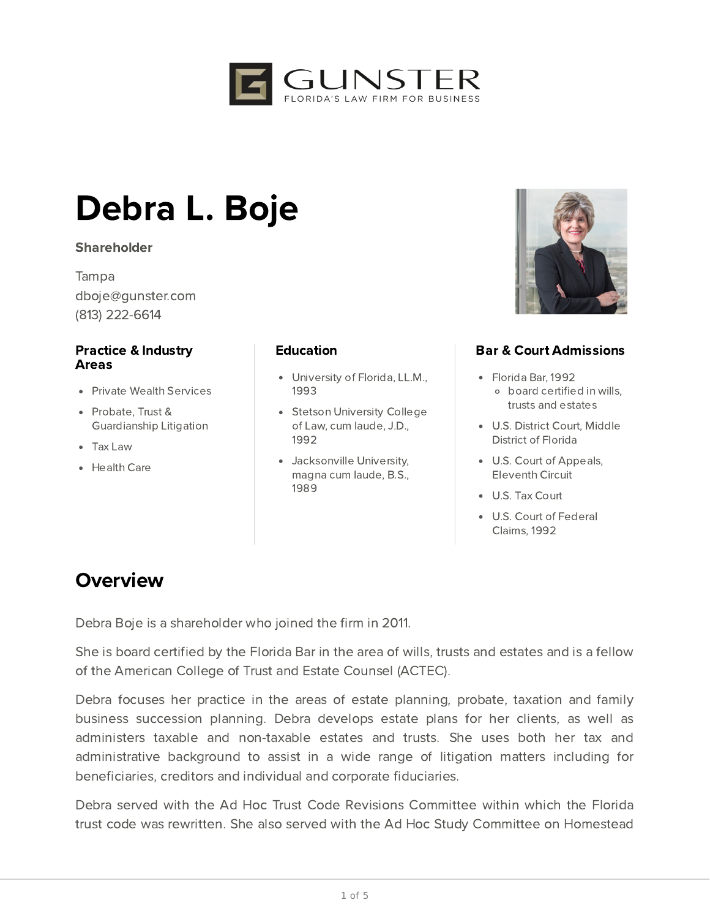

# Debra L. Boje

#### **Shareholder**

Tampa dboje@gunster.com (813) 222-6614

#### Practice & Industry Areas

- Private Wealth Services
- Probate, Trust & Guardianship Litigation
- Tax Law
- Health Care

#### **Education**

- University of Florida, LL.M., 1993
- Stetson University College of Law, cum laude, J.D., 1992
- Jacksonville University, magna cum laude, B.S., 1989



### Bar & Court Admissions

- Florida Bar, 1992 board certified in wills, trusts and estates
- U.S. District Court, Middle District of Florida
- U.S. Court of Appeals, Eleventh Circuit
- U.S. Tax Court
- U.S. Court of Federal Claims, 1992

## **Overview**

Debra Boje is a shareholder who joined the firm in 2011.

She is board certified by the Florida Bar in the area of wills, trusts and estates and is a fellow of the American College of Trust and Estate Counsel (ACTEC).

Debra focuses her practice in the areas of estate planning, probate, taxation and family business succession planning. Debra develops estate plans for her clients, as well as administers taxable and non-taxable estates and trusts. She uses both her tax and administrative background to assist in a wide range of litigation matters including for beneficiaries, creditors and individual and corporate fiduciaries.

Debra served with the Ad Hoc Trust Code Revisions Committee within which the Florida trust code was rewritten. She also served with the Ad Hoc Study Committee on Homestead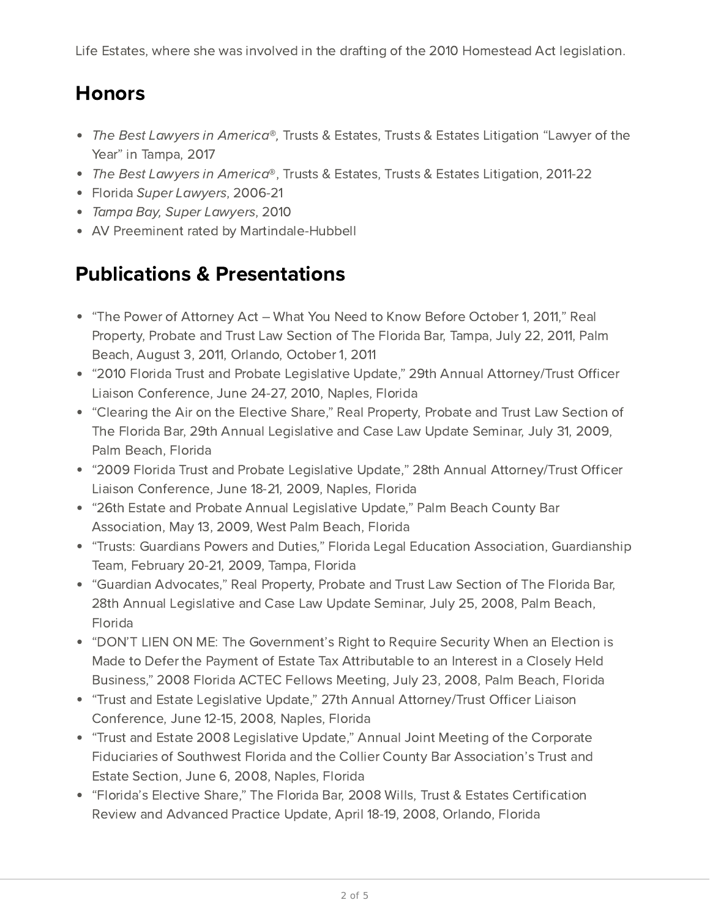Life Estates, where she was involved in the drafting of the 2010 Homestead Act legislation.

## Honors

- The Best Lawyers in America®, Trusts & Estates, Trusts & Estates Litigation "Lawyer of the Year" in Tampa, 2017
- The Best Lawyers in America®, Trusts & Estates, Trusts & Estates Litigation, 2011-22
- Florida Super Lawyers, 2006-21
- Tampa Bay, Super Lawyers, 2010
- AV Preeminent rated by Martindale-Hubbell

## Publications & Presentations

- "The Power of Attorney Act What You Need to Know Before October 1, 2011," Real Property, Probate and Trust Law Section of The Florida Bar, Tampa, July 22, 2011, Palm Beach, August 3, 2011, Orlando, October 1, 2011
- "2010 Florida Trust and Probate Legislative Update," 29th Annual Attorney/Trust Officer Liaison Conference, June 24-27, 2010, Naples, Florida
- "Clearing the Air on the Elective Share," Real Property, Probate and Trust Law Section of The Florida Bar, 29th Annual Legislative and Case Law Update Seminar, July 31, 2009, Palm Beach, Florida
- "2009 Florida Trust and Probate Legislative Update," 28th Annual Attorney/Trust Officer Liaison Conference, June 18-21, 2009, Naples, Florida
- "26th Estate and Probate Annual Legislative Update," Palm Beach County Bar Association, May 13, 2009, West Palm Beach, Florida
- "Trusts: Guardians Powers and Duties," Florida Legal Education Association, Guardianship Team, February 20-21, 2009, Tampa, Florida
- "Guardian Advocates," Real Property, Probate and Trust Law Section of The Florida Bar, 28th Annual Legislative and Case Law Update Seminar, July 25, 2008, Palm Beach, Florida
- "DON'T LIEN ON ME: The Government's Right to Require Security When an Election is Made to Defer the Payment of Estate Tax Attributable to an Interest in a Closely Held Business," 2008 Florida ACTEC Fellows Meeting, July 23, 2008, Palm Beach, Florida
- "Trust and Estate Legislative Update," 27th Annual Attorney/Trust Officer Liaison Conference, June 12-15, 2008, Naples, Florida
- "Trust and Estate 2008 Legislative Update," Annual Joint Meeting of the Corporate Fiduciaries of Southwest Florida and the Collier County Bar Association's Trust and Estate Section, June 6, 2008, Naples, Florida
- "Florida's Elective Share," The Florida Bar, 2008 Wills, Trust & Estates Certification Review and Advanced Practice Update, April 18-19, 2008, Orlando, Florida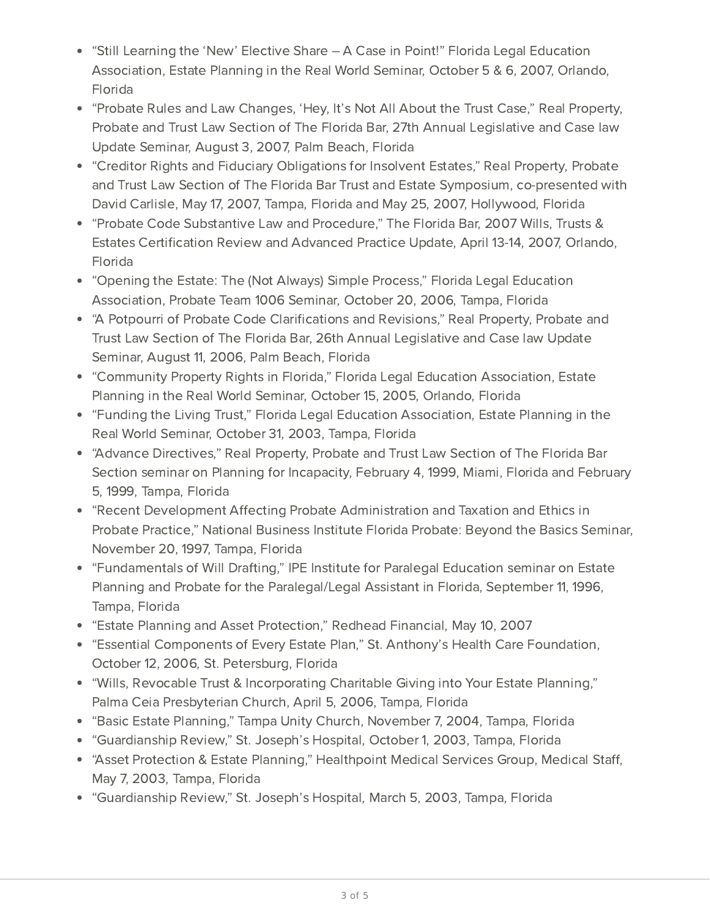- "Still Learning the 'New' Elective Share A Case in Point!" Florida Legal Education Association, Estate Planning in the Real World Seminar, October 5 & 6, 2007, Orlando, Florida
- "Probate Rules and Law Changes, 'Hey, It's Not All About the Trust Case," Real Property, Probate and Trust Law Section of The Florida Bar, 27th Annual Legislative and Case law Update Seminar, August 3, 2007, Palm Beach, Florida
- "Creditor Rights and Fiduciary Obligations for Insolvent Estates," Real Property, Probate and Trust Law Section of The Florida Bar Trust and Estate Symposium, co-presented with David Carlisle, May 17, 2007, Tampa, Florida and May 25, 2007, Hollywood, Florida
- "Probate Code Substantive Law and Procedure," The Florida Bar, 2007 Wills, Trusts & Estates Certification Review and Advanced Practice Update, April 13-14, 2007, Orlando, Florida
- "Opening the Estate: The (Not Always) Simple Process," Florida Legal Education Association, Probate Team 1006 Seminar, October 20, 2006, Tampa, Florida
- "A Potpourri of Probate Code Clarifications and Revisions," Real Property, Probate and Trust Law Section of The Florida Bar, 26th Annual Legislative and Case law Update Seminar, August 11, 2006, Palm Beach, Florida
- "Community Property Rights in Florida," Florida Legal Education Association, Estate Planning in the Real World Seminar, October 15, 2005, Orlando, Florida
- "Funding the Living Trust," Florida Legal Education Association, Estate Planning in the Real World Seminar, October 31, 2003, Tampa, Florida
- "Advance Directives," Real Property, Probate and Trust Law Section of The Florida Bar Section seminar on Planning for Incapacity, February 4, 1999, Miami, Florida and February 5, 1999, Tampa, Florida
- "Recent Development Affecting Probate Administration and Taxation and Ethics in Probate Practice," National Business Institute Florida Probate: Beyond the Basics Seminar, November 20, 1997, Tampa, Florida
- "Fundamentals of Will Drafting," IPE Institute for Paralegal Education seminar on Estate Planning and Probate for the Paralegal/Legal Assistant in Florida, September 11, 1996, Tampa, Florida
- "Estate Planning and Asset Protection," Redhead Financial, May 10, 2007
- "Essential Components of Every Estate Plan," St. Anthony's Health Care Foundation, October 12, 2006, St. Petersburg, Florida
- "Wills, Revocable Trust & Incorporating Charitable Giving into Your Estate Planning," Palma Ceia Presbyterian Church, April 5, 2006, Tampa, Florida
- "Basic Estate Planning," Tampa Unity Church, November 7, 2004, Tampa, Florida
- "Guardianship Review," St. Joseph's Hospital, October 1, 2003, Tampa, Florida
- "Asset Protection & Estate Planning," Healthpoint Medical Services Group, Medical Staff, May 7, 2003, Tampa, Florida
- "Guardianship Review," St. Joseph's Hospital, March 5, 2003, Tampa, Florida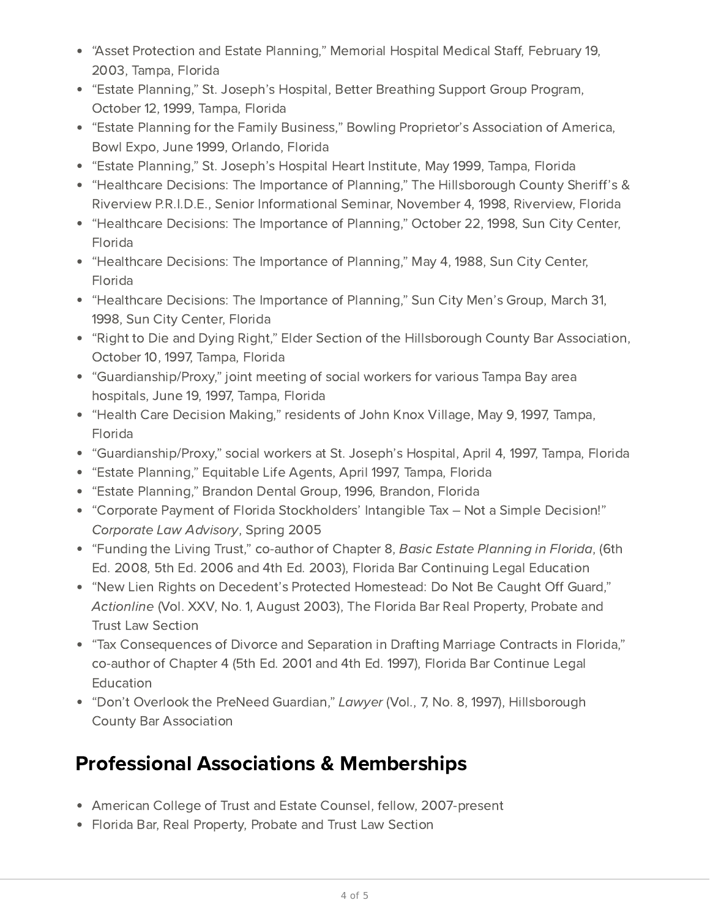- "Asset Protection and Estate Planning," Memorial Hospital Medical Staff, February 19, 2003, Tampa, Florida
- "Estate Planning," St. Joseph's Hospital, Better Breathing Support Group Program, October 12, 1999, Tampa, Florida
- "Estate Planning for the Family Business," Bowling Proprietor's Association of America, Bowl Expo, June 1999, Orlando, Florida
- "Estate Planning," St. Joseph's Hospital Heart Institute, May 1999, Tampa, Florida
- "Healthcare Decisions: The Importance of Planning," The Hillsborough County Sheriff's & Riverview P.R.I.D.E., Senior Informational Seminar, November 4, 1998, Riverview, Florida
- "Healthcare Decisions: The Importance of Planning," October 22, 1998, Sun City Center, Florida
- "Healthcare Decisions: The Importance of Planning," May 4, 1988, Sun City Center, Florida
- "Healthcare Decisions: The Importance of Planning," Sun City Men's Group, March 31, 1998, Sun City Center, Florida
- "Right to Die and Dying Right," Elder Section of the Hillsborough County Bar Association, October 10, 1997, Tampa, Florida
- "Guardianship/Proxy," joint meeting of social workers for various Tampa Bay area hospitals, June 19, 1997, Tampa, Florida
- "Health Care Decision Making," residents of John Knox Village, May 9, 1997, Tampa, Florida
- "Guardianship/Proxy," social workers at St. Joseph's Hospital, April 4, 1997, Tampa, Florida
- "Estate Planning," Equitable Life Agents, April 1997, Tampa, Florida
- "Estate Planning," Brandon Dental Group, 1996, Brandon, Florida
- "Corporate Payment of Florida Stockholders' Intangible Tax Not a Simple Decision!" Corporate Law Advisory, Spring 2005
- "Funding the Living Trust," co-author of Chapter 8, Basic Estate Planning in Florida, (6th Ed. 2008, 5th Ed. 2006 and 4th Ed. 2003), Florida Bar Continuing Legal Education
- "New Lien Rights on Decedent's Protected Homestead: Do Not Be Caught Off Guard," Actionline (Vol. XXV, No. 1, August 2003), The Florida Bar Real Property, Probate and Trust Law Section
- "Tax Consequences of Divorce and Separation in Drafting Marriage Contracts in Florida," co-author of Chapter 4 (5th Ed. 2001 and 4th Ed. 1997), Florida Bar Continue Legal **Education**
- "Don't Overlook the PreNeed Guardian," Lawyer (Vol., 7, No. 8, 1997), Hillsborough County Bar Association

## Professional Associations & Memberships

- American College of Trust and Estate Counsel, fellow, 2007-present
- Florida Bar, Real Property, Probate and Trust Law Section